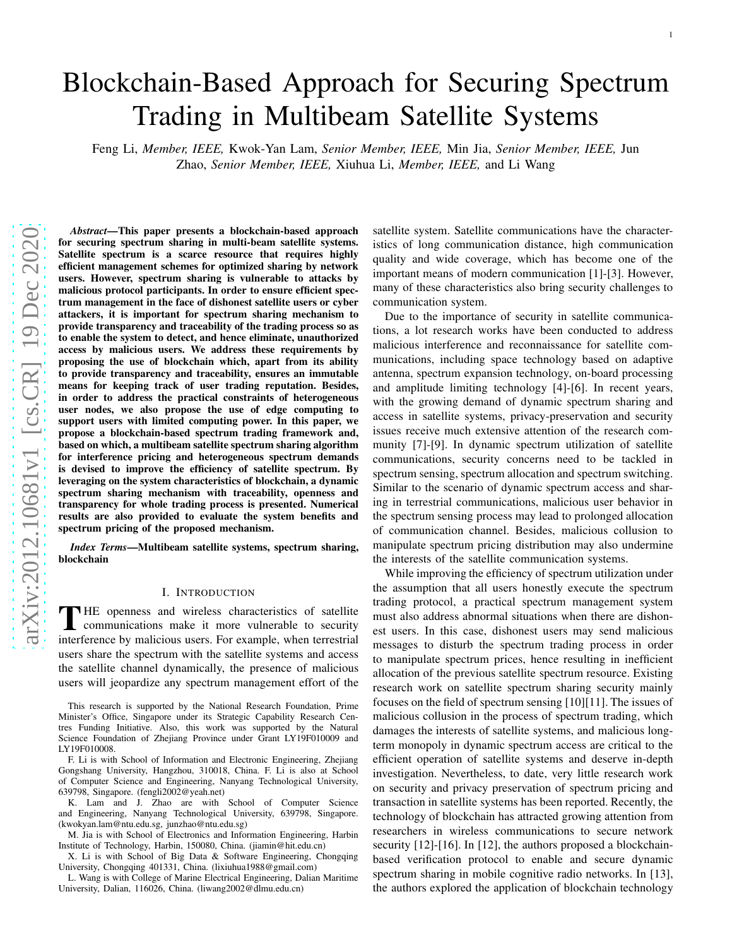# Blockchain-Based Approach for Securing Spectrum Trading in Multibeam Satellite Systems

Feng Li, *Member, IEEE,* Kwok-Yan Lam, *Senior Member, IEEE,* Min Jia, *Senior Member, IEEE,* Jun Zhao, *Senior Member, IEEE,* Xiuhua Li, *Member, IEEE,* and Li Wang

*Abstract*—This paper presents a blockchain-based approach for securing spectrum sharing in multi-beam satellite systems. Satellite spectrum is a scarce resource that requires highly efficient management schemes for optimized sharing by network users. However, spectrum sharing is vulnerable to attacks b y malicious protocol participants. In order to ensure efficient spectrum management in the face of dishonest satellite users or cyber attackers, it is important for spectrum sharing mechanism t o provide transparency and traceability of the trading process so as to enable the system to detect, and hence eliminate, unauthorized access by malicious users. We address these requirements by proposing the use of blockchain which, apart from its abilit y to provide transparency and traceability, ensures an immutable means for keeping track of user trading reputation. Besides , in order to address the practical constraints of heterogeneous user nodes, we also propose the use of edge computing to support users with limited computing power. In this paper, w e propose a blockchain-based spectrum trading framework and , based on which, a multibeam satellite spectrum sharing algorithm for interference pricing and heterogeneous spectrum demands is devised to improve the efficiency of satellite spectrum. By leveraging on the system characteristics of blockchain, a dynamic spectrum sharing mechanism with traceability, openness an d transparency for whole trading process is presented. Numerical results are also provided to evaluate the system benefits and spectrum pricing of the proposed mechanism.

*Index Terms*—Multibeam satellite systems, spectrum sharing, blockchain

### I. INTRODUCTION

 $\overline{ }$ HE openness and wireless characteristics of satellite communications make it more vulnerable to security interference by malicious users. For example, when terrestrial users share the spectrum with the satellite systems and access the satellite channel dynamically, the presence of malicious users will jeopardize any spectrum management effort of the

This research is supported by the National Research Foundation, Prime Minister's Office, Singapore under its Strategic Capability Research Centres Funding Initiative. Also, this work was supported by the Natural Science Foundation of Zhejiang Province under Grant LY19F010009 and LY19F010008.

F. Li is with School of Information and Electronic Engineering, Zhejiang Gongshang University, Hangzhou, 310018, China. F. Li is also at School of Computer Science and Engineering, Nanyang Technological University, 639798, Singapore. (fengli2002@yeah.net)

K. Lam and J. Zhao are with School of Computer Science and Engineering, Nanyang Technological University, 639798, Singapore. (kwokyan.lam@ntu.edu.sg, junzhao@ntu.edu.sg)

M. Jia is with School of Electronics and Information Engineering, Harbin Institute of Technology, Harbin, 150080, China. (jiamin@hit.edu.cn)

X. Li is with School of Big Data & Software Engineering, Chongqing University, Chongqing 401331, China. (lixiuhua1988@gmail.com)

L. Wang is with College of Marine Electrical Engineering, Dalian Maritime University, Dalian, 116026, China. (liwang2002@dlmu.edu.cn)

satellite system. Satellite communications have the characteristics of long communication distance, high communication quality and wide coverage, which has become one of the important means of modern communication [1]-[3]. However, many of these characteristics also bring security challenges to communication system.

Due to the importance of security in satellite communications, a lot research works have been conducted to address malicious interference and reconnaissance for satellite communications, including space technology based on adaptive antenna, spectrum expansion technology, on-board processing and amplitude limiting technology [4]-[6]. In recent years , with the growing demand of dynamic spectrum sharing and access in satellite systems, privacy-preservation and security issues receive much extensive attention of the research com munity [7]-[9]. In dynamic spectrum utilization of satellite communications, security concerns need to be tackled in spectrum sensing, spectrum allocation and spectrum switching. Similar to the scenario of dynamic spectrum access and sharing in terrestrial communications, malicious user behavior in the spectrum sensing process may lead to prolonged allocation of communication channel. Besides, malicious collusion to manipulate spectrum pricing distribution may also undermine the interests of the satellite communication systems.

While improving the efficiency of spectrum utilization unde r the assumption that all users honestly execute the spectrum trading protocol, a practical spectrum management system must also address abnormal situations when there are dishon est users. In this case, dishonest users may send malicious messages to disturb the spectrum trading process in order to manipulate spectrum prices, hence resulting in inefficient allocation of the previous satellite spectrum resource. Existing research work on satellite spectrum sharing security mainl y focuses on the field of spectrum sensing [10][11]. The issues of malicious collusion in the process of spectrum trading, which damages the interests of satellite systems, and malicious longterm monopoly in dynamic spectrum access are critical to the efficient operation of satellite systems and deserve in-depth investigation. Nevertheless, to date, very little research work on security and privacy preservation of spectrum pricing an d transaction in satellite systems has been reported. Recently, the technology of blockchain has attracted growing attention from researchers in wireless communications to secure network security [12]-[16]. In [12], the authors proposed a blockchainbased verification protocol to enable and secure dynamic spectrum sharing in mobile cognitive radio networks. In [13], the authors explored the application of blockchain technology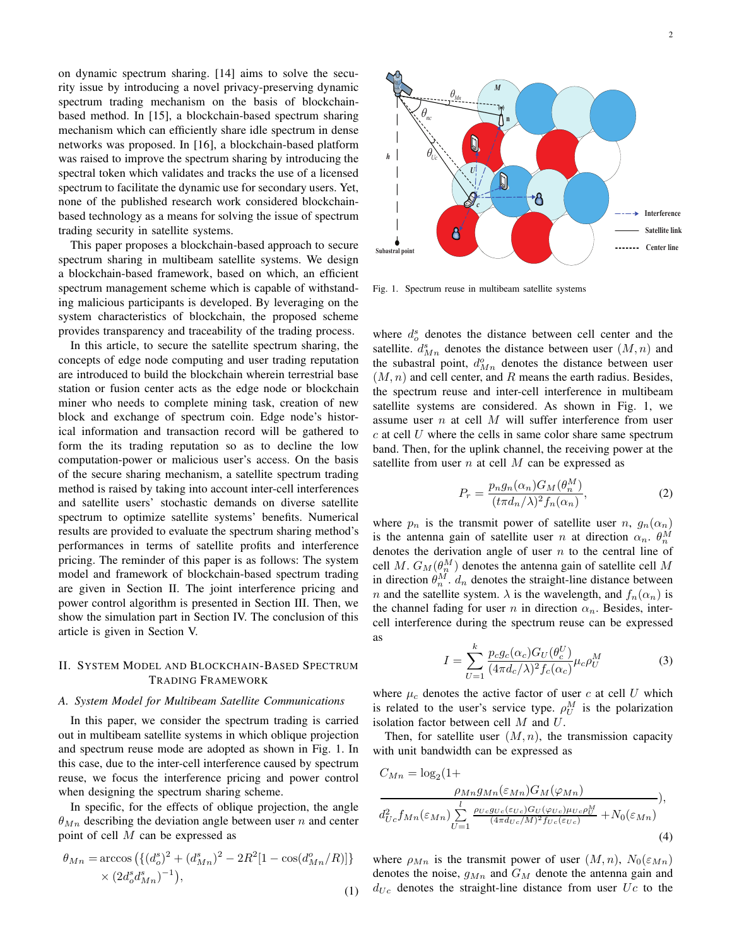on dynamic spectrum sharing. [14] aims to solve the security issue by introducing a novel privacy-preserving dynamic spectrum trading mechanism on the basis of blockchainbased method. In [15], a blockchain-based spectrum sharing mechanism which can efficiently share idle spectrum in dense networks was proposed. In [16], a blockchain-based platform was raised to improve the spectrum sharing by introducing the spectral token which validates and tracks the use of a licensed spectrum to facilitate the dynamic use for secondary users. Yet, none of the published research work considered blockchainbased technology as a means for solving the issue of spectrum trading security in satellite systems.

This paper proposes a blockchain-based approach to secure spectrum sharing in multibeam satellite systems. We design a blockchain-based framework, based on which, an efficient spectrum management scheme which is capable of withstanding malicious participants is developed. By leveraging on the system characteristics of blockchain, the proposed scheme provides transparency and traceability of the trading process.

In this article, to secure the satellite spectrum sharing, the concepts of edge node computing and user trading reputation are introduced to build the blockchain wherein terrestrial base station or fusion center acts as the edge node or blockchain miner who needs to complete mining task, creation of new block and exchange of spectrum coin. Edge node's historical information and transaction record will be gathered to form the its trading reputation so as to decline the low computation-power or malicious user's access. On the basis of the secure sharing mechanism, a satellite spectrum trading method is raised by taking into account inter-cell interferences and satellite users' stochastic demands on diverse satellite spectrum to optimize satellite systems' benefits. Numerical results are provided to evaluate the spectrum sharing method's performances in terms of satellite profits and interference pricing. The reminder of this paper is as follows: The system model and framework of blockchain-based spectrum trading are given in Section II. The joint interference pricing and power control algorithm is presented in Section III. Then, we show the simulation part in Section IV. The conclusion of this article is given in Section V.

# II. SYSTEM MODEL AND BLOCKCHAIN-BASED SPECTRUM TRADING FRAMEWORK

#### *A. System Model for Multibeam Satellite Communications*

In this paper, we consider the spectrum trading is carried out in multibeam satellite systems in which oblique projection and spectrum reuse mode are adopted as shown in Fig. 1. In this case, due to the inter-cell interference caused by spectrum reuse, we focus the interference pricing and power control when designing the spectrum sharing scheme.

In specific, for the effects of oblique projection, the angle  $\theta_{Mn}$  describing the deviation angle between user n and center point of cell M can be expressed as

$$
\theta_{Mn} = \arccos\left(\left\{(d_o^s)^2 + (d_{Mn}^s)^2 - 2R^2[1 - \cos(d_{Mn}^o/R)]\right\}\right) \times (2d_o^s d_{Mn}^s)^{-1},
$$
\n(1)



Fig. 1. Spectrum reuse in multibeam satellite systems

where  $d_o^s$  denotes the distance between cell center and the satellite.  $d_{Mn}^s$  denotes the distance between user  $(M, n)$  and the subastral point,  $d_{Mn}^o$  denotes the distance between user  $(M, n)$  and cell center, and R means the earth radius. Besides, the spectrum reuse and inter-cell interference in multibeam satellite systems are considered. As shown in Fig. 1, we assume user  $n$  at cell  $M$  will suffer interference from user  $c$  at cell  $U$  where the cells in same color share same spectrum band. Then, for the uplink channel, the receiving power at the satellite from user *n* at cell M can be expressed as

$$
P_r = \frac{p_n g_n(\alpha_n) G_M(\theta_n^M)}{(t \pi d_n/\lambda)^2 f_n(\alpha_n)},\tag{2}
$$

where  $p_n$  is the transmit power of satellite user n,  $g_n(\alpha_n)$ is the antenna gain of satellite user *n* at direction  $\alpha_n$ .  $\theta_n^M$ denotes the derivation angle of user  $n$  to the central line of cell M.  $G_M(\theta_n^M)$  denotes the antenna gain of satellite cell M in direction  $\theta_n^M$ .  $d_n$  denotes the straight-line distance between *n* and the satellite system.  $\lambda$  is the wavelength, and  $f_n(\alpha_n)$  is the channel fading for user n in direction  $\alpha_n$ . Besides, intercell interference during the spectrum reuse can be expressed as

$$
I = \sum_{U=1}^{k} \frac{p_c g_c(\alpha_c) G_U(\theta_c^U)}{(4\pi d_c/\lambda)^2 f_c(\alpha_c)} \mu_c \rho_U^M
$$
(3)

where  $\mu_c$  denotes the active factor of user c at cell U which is related to the user's service type.  $\rho_U^M$  is the polarization isolation factor between cell M and U.

Then, for satellite user  $(M, n)$ , the transmission capacity with unit bandwidth can be expressed as

$$
C_{Mn} = \log_2(1+ \frac{\rho_{Mn}g_{Mn}(\varepsilon_{Mn})G_M(\varphi_{Mn})}{\frac{\rho_{Mn}g_{Mn}(\varepsilon_{Mn})}{\frac{1}{(4\pi d_{Uc}/M)^2 f_{Uc}(\varepsilon_{Uc})}+N_0(\varepsilon_{Mn})}},
$$
\n
$$
d_{Uc}^2 f_{Mn}(\varepsilon_{Mn}) \sum_{U=1}^l \frac{\rho_{Uc}g_{Uc}(\varepsilon_{Uc})G_U(\varphi_{Uc})\mu_{Uc}\rho_U^M}{(4\pi d_{Uc}/M)^2 f_{Uc}(\varepsilon_{Uc})}+N_0(\varepsilon_{Mn})}
$$
\n(4)

where  $\rho_{Mn}$  is the transmit power of user  $(M, n)$ ,  $N_0(\varepsilon_{Mn})$ denotes the noise,  $g_{Mn}$  and  $G_M$  denote the antenna gain and  $d_{Uc}$  denotes the straight-line distance from user  $Uc$  to the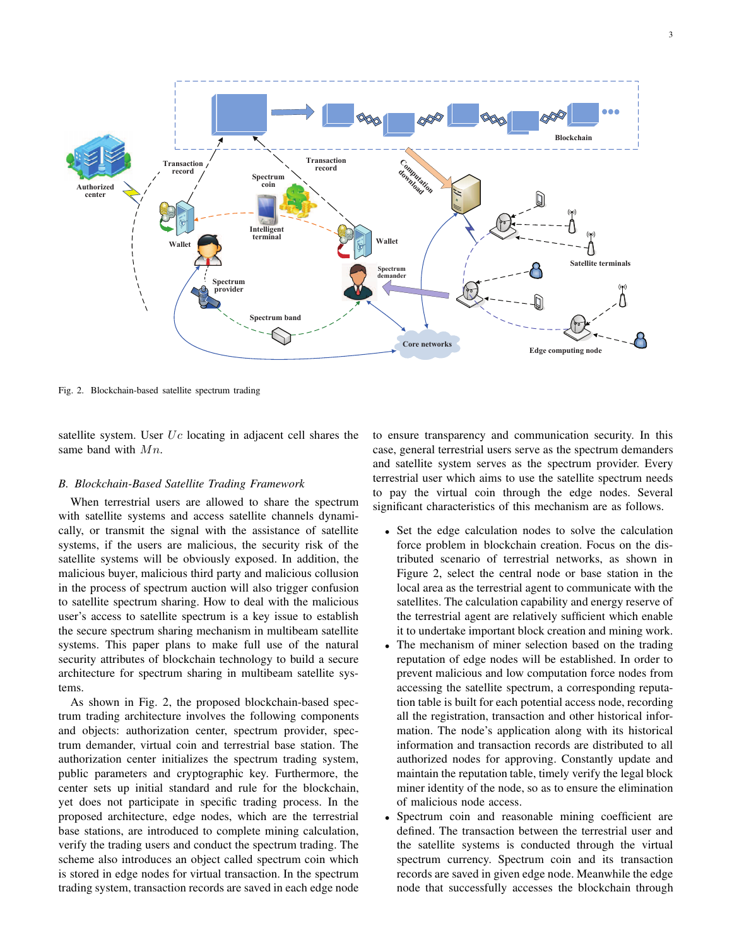

Fig. 2. Blockchain-based satellite spectrum trading

satellite system. User  $Uc$  locating in adjacent cell shares the same band with  $Mn$ .

## *B. Blockchain-Based Satellite Trading Framework*

When terrestrial users are allowed to share the spectrum with satellite systems and access satellite channels dynamically, or transmit the signal with the assistance of satellite systems, if the users are malicious, the security risk of the satellite systems will be obviously exposed. In addition, the malicious buyer, malicious third party and malicious collusion in the process of spectrum auction will also trigger confusion to satellite spectrum sharing. How to deal with the malicious user's access to satellite spectrum is a key issue to establish the secure spectrum sharing mechanism in multibeam satellite systems. This paper plans to make full use of the natural security attributes of blockchain technology to build a secure architecture for spectrum sharing in multibeam satellite systems.

As shown in Fig. 2, the proposed blockchain-based spectrum trading architecture involves the following components and objects: authorization center, spectrum provider, spectrum demander, virtual coin and terrestrial base station. The authorization center initializes the spectrum trading system, public parameters and cryptographic key. Furthermore, the center sets up initial standard and rule for the blockchain, yet does not participate in specific trading process. In the proposed architecture, edge nodes, which are the terrestrial base stations, are introduced to complete mining calculation, verify the trading users and conduct the spectrum trading. The scheme also introduces an object called spectrum coin which is stored in edge nodes for virtual transaction. In the spectrum trading system, transaction records are saved in each edge node to ensure transparency and communication security. In this case, general terrestrial users serve as the spectrum demanders and satellite system serves as the spectrum provider. Every terrestrial user which aims to use the satellite spectrum needs to pay the virtual coin through the edge nodes. Several significant characteristics of this mechanism are as follows.

- Set the edge calculation nodes to solve the calculation force problem in blockchain creation. Focus on the distributed scenario of terrestrial networks, as shown in Figure 2, select the central node or base station in the local area as the terrestrial agent to communicate with the satellites. The calculation capability and energy reserve of the terrestrial agent are relatively sufficient which enable it to undertake important block creation and mining work.
- The mechanism of miner selection based on the trading reputation of edge nodes will be established. In order to prevent malicious and low computation force nodes from accessing the satellite spectrum, a corresponding reputation table is built for each potential access node, recording all the registration, transaction and other historical information. The node's application along with its historical information and transaction records are distributed to all authorized nodes for approving. Constantly update and maintain the reputation table, timely verify the legal block miner identity of the node, so as to ensure the elimination of malicious node access.
- Spectrum coin and reasonable mining coefficient are defined. The transaction between the terrestrial user and the satellite systems is conducted through the virtual spectrum currency. Spectrum coin and its transaction records are saved in given edge node. Meanwhile the edge node that successfully accesses the blockchain through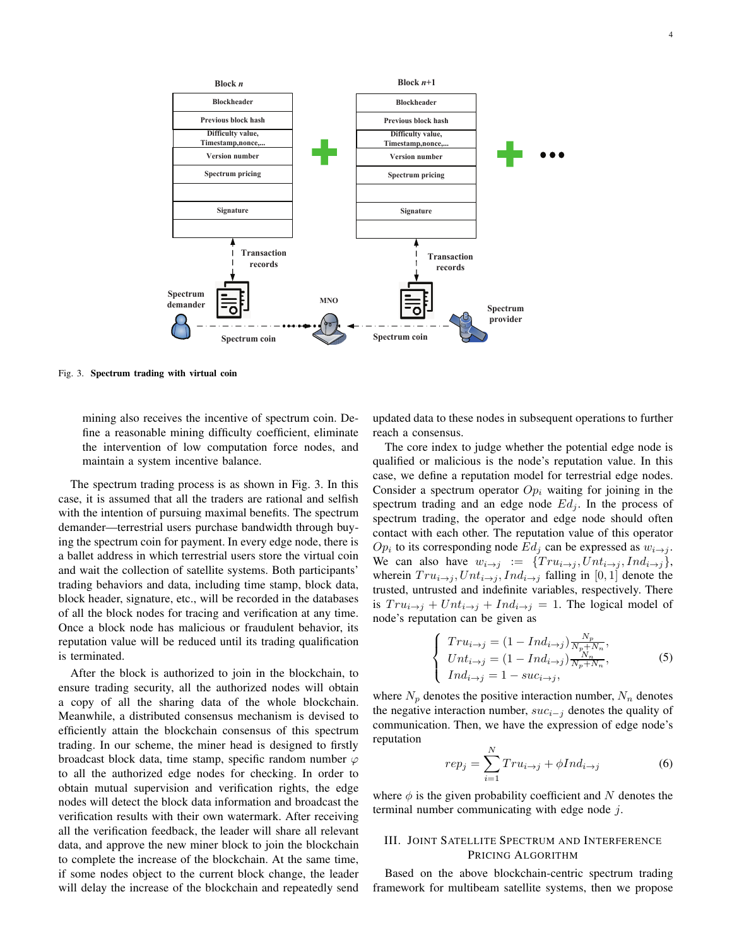

Fig. 3. Spectrum trading with virtual coin

mining also receives the incentive of spectrum coin. Define a reasonable mining difficulty coefficient, eliminate the intervention of low computation force nodes, and maintain a system incentive balance.

The spectrum trading process is as shown in Fig. 3. In this case, it is assumed that all the traders are rational and selfish with the intention of pursuing maximal benefits. The spectrum demander—terrestrial users purchase bandwidth through buying the spectrum coin for payment. In every edge node, there is a ballet address in which terrestrial users store the virtual coin and wait the collection of satellite systems. Both participants' trading behaviors and data, including time stamp, block data, block header, signature, etc., will be recorded in the databases of all the block nodes for tracing and verification at any time. Once a block node has malicious or fraudulent behavior, its reputation value will be reduced until its trading qualification is terminated.

After the block is authorized to join in the blockchain, to ensure trading security, all the authorized nodes will obtain a copy of all the sharing data of the whole blockchain. Meanwhile, a distributed consensus mechanism is devised to efficiently attain the blockchain consensus of this spectrum trading. In our scheme, the miner head is designed to firstly broadcast block data, time stamp, specific random number  $\varphi$ to all the authorized edge nodes for checking. In order to obtain mutual supervision and verification rights, the edge nodes will detect the block data information and broadcast the verification results with their own watermark. After receiving all the verification feedback, the leader will share all relevant data, and approve the new miner block to join the blockchain to complete the increase of the blockchain. At the same time, if some nodes object to the current block change, the leader will delay the increase of the blockchain and repeatedly send updated data to these nodes in subsequent operations to further reach a consensus.

The core index to judge whether the potential edge node is qualified or malicious is the node's reputation value. In this case, we define a reputation model for terrestrial edge nodes. Consider a spectrum operator  $Op<sub>i</sub>$  waiting for joining in the spectrum trading and an edge node  $Ed_j$ . In the process of spectrum trading, the operator and edge node should often contact with each other. The reputation value of this operator  $Op_i$  to its corresponding node  $Ed_j$  can be expressed as  $w_{i\rightarrow j}$ . We can also have  $w_{i\rightarrow j} := \{Tru_{i\rightarrow j}, Unt_{i\rightarrow j}, Ind_{i\rightarrow j}\},$ wherein  $Tr u_{i\rightarrow j}$ ,  $Unt_{i\rightarrow j}$ ,  $Ind_{i\rightarrow j}$  falling in [0, 1] denote the trusted, untrusted and indefinite variables, respectively. There is  $Tr u_{i\rightarrow j} + Un t_{i\rightarrow j} + Ind_{i\rightarrow j} = 1$ . The logical model of node's reputation can be given as

$$
\begin{cases}\nTr u_{i \to j} = (1 - Ind_{i \to j}) \frac{N_p}{N_p + N_n}, \\
Un t_{i \to j} = (1 - Ind_{i \to j}) \frac{N_n}{N_p + N_n}, \\
Ind_{i \to j} = 1 - suc_{i \to j},\n\end{cases}
$$
\n(5)

where  $N_p$  denotes the positive interaction number,  $N_n$  denotes the negative interaction number,  $suc_{i-j}$  denotes the quality of communication. Then, we have the expression of edge node's reputation

$$
rep_j = \sum_{i=1}^{N} Tr u_{i \to j} + \phi Ind_{i \to j}
$$
 (6)

where  $\phi$  is the given probability coefficient and N denotes the terminal number communicating with edge node j.

# III. JOINT SATELLITE SPECTRUM AND INTERFERENCE PRICING ALGORITHM

Based on the above blockchain-centric spectrum trading framework for multibeam satellite systems, then we propose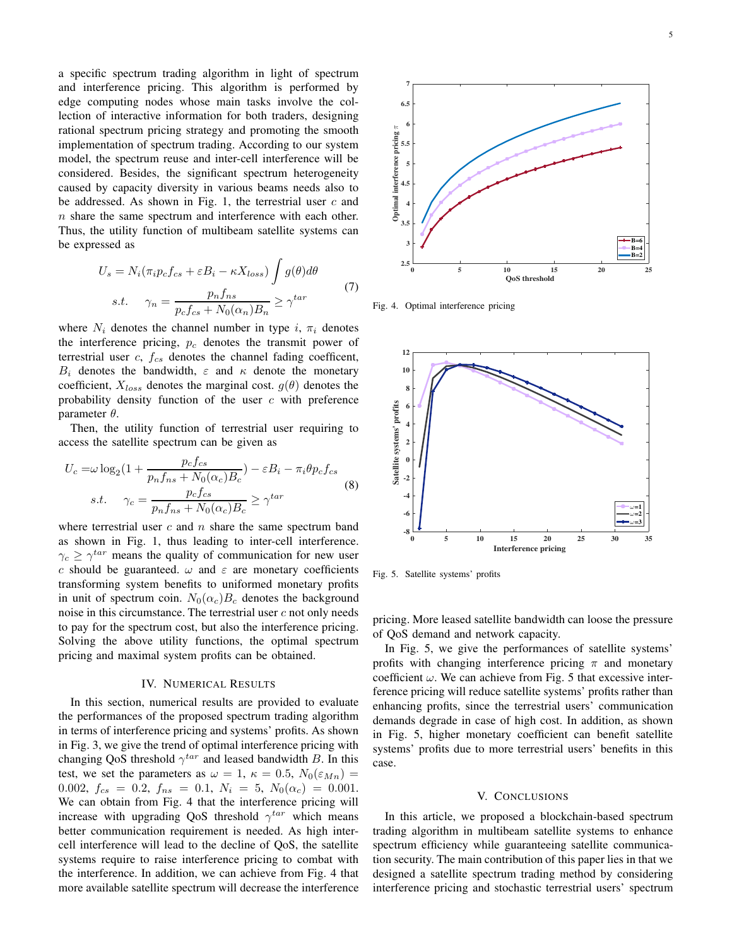a specific spectrum trading algorithm in light of spectrum and interference pricing. This algorithm is performed by edge computing nodes whose main tasks involve the collection of interactive information for both traders, designing rational spectrum pricing strategy and promoting the smooth implementation of spectrum trading. According to our system model, the spectrum reuse and inter-cell interference will be considered. Besides, the significant spectrum heterogeneity caused by capacity diversity in various beams needs also to be addressed. As shown in Fig. 1, the terrestrial user  $c$  and  $n$  share the same spectrum and interference with each other. Thus, the utility function of multibeam satellite systems can be expressed as

$$
U_s = N_i(\pi_i p_c f_{cs} + \varepsilon B_i - \kappa X_{loss}) \int g(\theta) d\theta
$$
  
s.t. 
$$
\gamma_n = \frac{p_n f_{ns}}{p_c f_{cs} + N_0(\alpha_n) B_n} \ge \gamma^{tar}
$$
 (7)

where  $N_i$  denotes the channel number in type i,  $\pi_i$  denotes the interference pricing,  $p_c$  denotes the transmit power of terrestrial user  $c$ ,  $f_{cs}$  denotes the channel fading coefficent,  $B_i$  denotes the bandwidth,  $\varepsilon$  and  $\kappa$  denote the monetary coefficient,  $X_{loss}$  denotes the marginal cost.  $g(\theta)$  denotes the probability density function of the user  $c$  with preference parameter  $\theta$ .

Then, the utility function of terrestrial user requiring to access the satellite spectrum can be given as

$$
U_c = \omega \log_2 (1 + \frac{p_c f_{cs}}{p_n f_{ns} + N_0(\alpha_c) B_c}) - \varepsilon B_i - \pi_i \theta p_c f_{cs}
$$
  
s.t. 
$$
\gamma_c = \frac{p_c f_{cs}}{p_n f_{ns} + N_0(\alpha_c) B_c} \ge \gamma^{tar}
$$
 (8)

where terrestrial user  $c$  and  $n$  share the same spectrum band as shown in Fig. 1, thus leading to inter-cell interference.  $\gamma_c \geq \gamma^{tar}$  means the quality of communication for new user c should be guaranteed.  $\omega$  and  $\varepsilon$  are monetary coefficients transforming system benefits to uniformed monetary profits in unit of spectrum coin.  $N_0(\alpha_c)B_c$  denotes the background noise in this circumstance. The terrestrial user  $c$  not only needs to pay for the spectrum cost, but also the interference pricing. Solving the above utility functions, the optimal spectrum pricing and maximal system profits can be obtained.

#### IV. NUMERICAL RESULTS

In this section, numerical results are provided to evaluate the performances of the proposed spectrum trading algorithm in terms of interference pricing and systems' profits. As shown in Fig. 3, we give the trend of optimal interference pricing with changing QoS threshold  $\gamma^{tar}$  and leased bandwidth B. In this test, we set the parameters as  $\omega = 1$ ,  $\kappa = 0.5$ ,  $N_0(\varepsilon_{Mn}) =$ 0.002,  $f_{cs} = 0.2$ ,  $f_{ns} = 0.1$ ,  $N_i = 5$ ,  $N_0(\alpha_c) = 0.001$ . We can obtain from Fig. 4 that the interference pricing will increase with upgrading QoS threshold  $\gamma^{tar}$  which means better communication requirement is needed. As high intercell interference will lead to the decline of QoS, the satellite systems require to raise interference pricing to combat with the interference. In addition, we can achieve from Fig. 4 that more available satellite spectrum will decrease the interference



Fig. 4. Optimal interference pricing



Fig. 5. Satellite systems' profits

pricing. More leased satellite bandwidth can loose the pressure of QoS demand and network capacity.

In Fig. 5, we give the performances of satellite systems' profits with changing interference pricing  $\pi$  and monetary coefficient  $\omega$ . We can achieve from Fig. 5 that excessive interference pricing will reduce satellite systems' profits rather than enhancing profits, since the terrestrial users' communication demands degrade in case of high cost. In addition, as shown in Fig. 5, higher monetary coefficient can benefit satellite systems' profits due to more terrestrial users' benefits in this case.

## V. CONCLUSIONS

In this article, we proposed a blockchain-based spectrum trading algorithm in multibeam satellite systems to enhance spectrum efficiency while guaranteeing satellite communication security. The main contribution of this paper lies in that we designed a satellite spectrum trading method by considering interference pricing and stochastic terrestrial users' spectrum